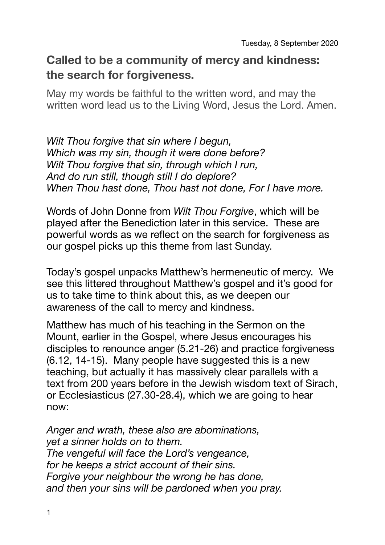## **Called to be a community of mercy and kindness: the search for forgiveness.**

May my words be faithful to the written word, and may the written word lead us to the Living Word, Jesus the Lord. Amen.

*Wilt Thou forgive that sin where I begun, Which was my sin, though it were done before? Wilt Thou forgive that sin, through which I run, And do run still, though still I do deplore? When Thou hast done, Thou hast not done, For I have more.* 

Words of John Donne from *Wilt Thou Forgive*, which will be played after the Benediction later in this service. These are powerful words as we reflect on the search for forgiveness as our gospel picks up this theme from last Sunday.

Today's gospel unpacks Matthew's hermeneutic of mercy. We see this littered throughout Matthew's gospel and it's good for us to take time to think about this, as we deepen our awareness of the call to mercy and kindness.

Matthew has much of his teaching in the Sermon on the Mount, earlier in the Gospel, where Jesus encourages his disciples to renounce anger (5.21-26) and practice forgiveness (6.12, 14-15). Many people have suggested this is a new teaching, but actually it has massively clear parallels with a text from 200 years before in the Jewish wisdom text of Sirach, or Ecclesiasticus (27.30-28.4), which we are going to hear now:

*Anger and wrath, these also are abominations, yet a sinner holds on to them. The vengeful will face the Lord's vengeance, for he keeps a strict account of their sins. Forgive your neighbour the wrong he has done, and then your sins will be pardoned when you pray.*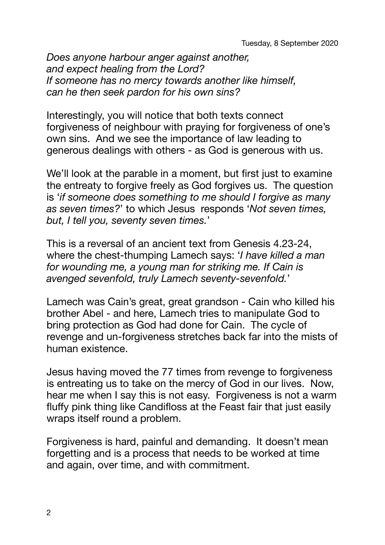*Does anyone harbour anger against another, and expect healing from the Lord? If someone has no mercy towards another like himself, can he then seek pardon for his own sins?* 

Interestingly, you will notice that both texts connect forgiveness of neighbour with praying for forgiveness of one's own sins. And we see the importance of law leading to generous dealings with others - as God is generous with us.

We'll look at the parable in a moment, but first just to examine the entreaty to forgive freely as God forgives us. The question is '*if someone does something to me should I forgive as many as seven times?*' to which Jesus responds '*Not seven times, but, I tell you, seventy seven times.*'

This is a reversal of an ancient text from Genesis 4.23-24, where the chest-thumping Lamech says: '*I have killed a man for wounding me, a young man for striking me. If Cain is avenged sevenfold, truly Lamech seventy-sevenfold.*'

Lamech was Cain's great, great grandson - Cain who killed his brother Abel - and here, Lamech tries to manipulate God to bring protection as God had done for Cain. The cycle of revenge and un-forgiveness stretches back far into the mists of human existence.

Jesus having moved the 77 times from revenge to forgiveness is entreating us to take on the mercy of God in our lives. Now, hear me when I say this is not easy. Forgiveness is not a warm fluffy pink thing like Candifloss at the Feast fair that just easily wraps itself round a problem.

Forgiveness is hard, painful and demanding. It doesn't mean forgetting and is a process that needs to be worked at time and again, over time, and with commitment.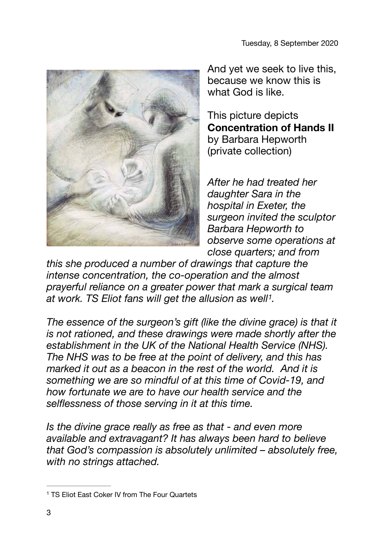

And yet we seek to live this, because we know this is what God is like.

This picture depicts **Concentration of Hands II**  by Barbara Hepworth (private collection)

<span id="page-2-1"></span>*After he had treated her daughter Sara in the hospital in Exeter, the surgeon invited the sculptor Barbara Hepworth to observe some operations at close quarters; and from* 

*this she produced a number of drawings that capture the intense concentration, the co-operation and the almost prayerful reliance on a greater power that mark a surgical team*  at work. TS Eliot fans will get the allusion as well<sup>[1](#page-2-0)</sup>.

The essence of the surgeon's gift (like the divine grace) is that it *is not rationed, and these drawings were made shortly after the establishment in the UK of the National Health Service (NHS). The NHS was to be free at the point of delivery, and this has marked it out as a beacon in the rest of the world. And it is something we are so mindful of at this time of Covid-19, and how fortunate we are to have our health service and the selflessness of those serving in it at this time.* 

*Is the divine grace really as free as that - and even more available and extravagant? It has always been hard to believe that God's compassion is absolutely unlimited – absolutely free, with no strings attached.* 

<span id="page-2-0"></span><sup>&</sup>lt;sup>[1](#page-2-1)</sup> TS Eliot East Coker IV from The Four Quartets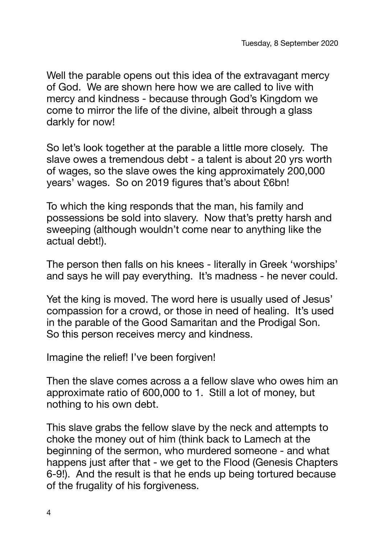Well the parable opens out this idea of the extravagant mercy of God. We are shown here how we are called to live with mercy and kindness - because through God's Kingdom we come to mirror the life of the divine, albeit through a glass darkly for now!

So let's look together at the parable a little more closely. The slave owes a tremendous debt - a talent is about 20 yrs worth of wages, so the slave owes the king approximately 200,000 years' wages. So on 2019 figures that's about £6bn!

To which the king responds that the man, his family and possessions be sold into slavery. Now that's pretty harsh and sweeping (although wouldn't come near to anything like the actual debt!).

The person then falls on his knees - literally in Greek 'worships' and says he will pay everything. It's madness - he never could.

Yet the king is moved. The word here is usually used of Jesus' compassion for a crowd, or those in need of healing. It's used in the parable of the Good Samaritan and the Prodigal Son. So this person receives mercy and kindness.

Imagine the relief! I've been forgiven!

Then the slave comes across a a fellow slave who owes him an approximate ratio of 600,000 to 1. Still a lot of money, but nothing to his own debt.

This slave grabs the fellow slave by the neck and attempts to choke the money out of him (think back to Lamech at the beginning of the sermon, who murdered someone - and what happens just after that - we get to the Flood (Genesis Chapters 6-9!). And the result is that he ends up being tortured because of the frugality of his forgiveness.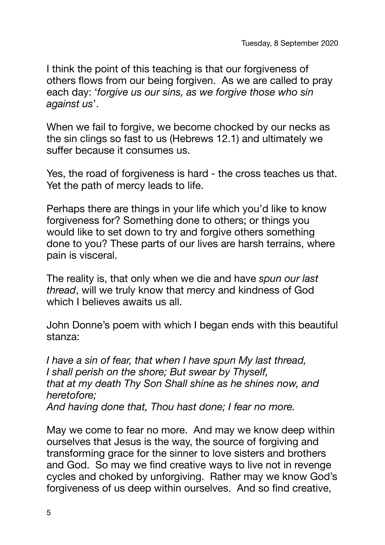I think the point of this teaching is that our forgiveness of others flows from our being forgiven. As we are called to pray each day: '*forgive us our sins, as we forgive those who sin against us*'.

When we fail to forgive, we become chocked by our necks as the sin clings so fast to us (Hebrews 12.1) and ultimately we suffer because it consumes us.

Yes, the road of forgiveness is hard - the cross teaches us that. Yet the path of mercy leads to life.

Perhaps there are things in your life which you'd like to know forgiveness for? Something done to others; or things you would like to set down to try and forgive others something done to you? These parts of our lives are harsh terrains, where pain is visceral.

The reality is, that only when we die and have *spun our last thread*, will we truly know that mercy and kindness of God which I believes awaits us all.

John Donne's poem with which I began ends with this beautiful stanza:

*I have a sin of fear, that when I have spun My last thread, I shall perish on the shore; But swear by Thyself, that at my death Thy Son Shall shine as he shines now, and heretofore; And having done that, Thou hast done; I fear no more.* 

May we come to fear no more. And may we know deep within ourselves that Jesus is the way, the source of forgiving and transforming grace for the sinner to love sisters and brothers and God. So may we find creative ways to live not in revenge cycles and choked by unforgiving. Rather may we know God's forgiveness of us deep within ourselves. And so find creative,